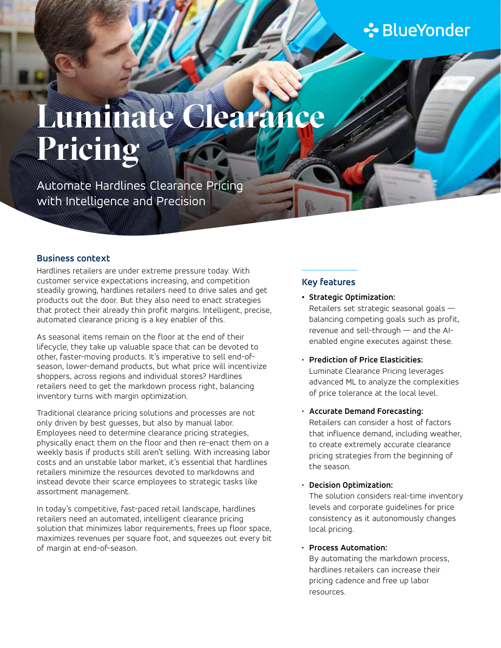## **∻** BlueYonder

# **Luminate Clearance Pricing**

Automate Hardlines Clearance Pricing with Intelligence and Precision

#### **Business context**

Hardlines retailers are under extreme pressure today. With customer service expectations increasing, and competition steadily growing, hardlines retailers need to drive sales and get products out the door. But they also need to enact strategies that protect their already thin profit margins. Intelligent, precise, automated clearance pricing is a key enabler of this.

As seasonal items remain on the floor at the end of their lifecycle, they take up valuable space that can be devoted to other, faster-moving products. It's imperative to sell end-ofseason, lower-demand products, but what price will incentivize shoppers, across regions and individual stores? Hardlines retailers need to get the markdown process right, balancing inventory turns with margin optimization.

Traditional clearance pricing solutions and processes are not only driven by best guesses, but also by manual labor. Employees need to determine clearance pricing strategies, physically enact them on the floor and then re-enact them on a weekly basis if products still aren't selling. With increasing labor costs and an unstable labor market, it's essential that hardlines retailers minimize the resources devoted to markdowns and instead devote their scarce employees to strategic tasks like assortment management.

In today's competitive, fast-paced retail landscape, hardlines retailers need an automated, intelligent clearance pricing solution that minimizes labor requirements, frees up floor space, maximizes revenues per square foot, and squeezes out every bit of margin at end-of-season.

#### **Key features**

- **• Strategic Optimization:**  Retailers set strategic seasonal goals balancing competing goals such as profit, revenue and sell-through — and the AIenabled engine executes against these.
- **Prediction of Price Elasticities:**  Luminate Clearance Pricing leverages advanced ML to analyze the complexities of price tolerance at the local level.
- **Accurate Demand Forecasting:**  Retailers can consider a host of factors that influence demand, including weather, to create extremely accurate clearance pricing strategies from the beginning of the season.

#### • **Decision Optimization:**

The solution considers real-time inventory levels and corporate guidelines for price consistency as it autonomously changes local pricing.

#### • **Process Automation:**

By automating the markdown process, hardlines retailers can increase their pricing cadence and free up labor resources.